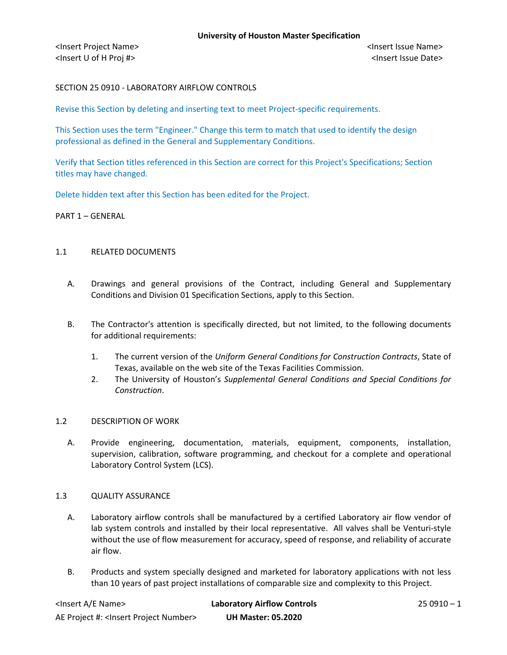## SECTION 25 0910 - LABORATORY AIRFLOW CONTROLS

Revise this Section by deleting and inserting text to meet Project-specific requirements.

This Section uses the term "Engineer." Change this term to match that used to identify the design professional as defined in the General and Supplementary Conditions.

Verify that Section titles referenced in this Section are correct for this Project's Specifications; Section titles may have changed.

Delete hidden text after this Section has been edited for the Project.

## PART 1 – GENERAL

## 1.1 RELATED DOCUMENTS

- A. Drawings and general provisions of the Contract, including General and Supplementary Conditions and Division 01 Specification Sections, apply to this Section.
- B. The Contractor's attention is specifically directed, but not limited, to the following documents for additional requirements:
	- 1. The current version of the *Uniform General Conditions for Construction Contracts*, State of Texas, available on the web site of the Texas Facilities Commission.
	- 2. The University of Houston's *Supplemental General Conditions and Special Conditions for Construction*.

## 1.2 DESCRIPTION OF WORK

A. Provide engineering, documentation, materials, equipment, components, installation, supervision, calibration, software programming, and checkout for a complete and operational Laboratory Control System (LCS).

## 1.3 QUALITY ASSURANCE

- A. Laboratory airflow controls shall be manufactured by a certified Laboratory air flow vendor of lab system controls and installed by their local representative. All valves shall be Venturi-style without the use of flow measurement for accuracy, speed of response, and reliability of accurate air flow.
- B. Products and system specially designed and marketed for laboratory applications with not less than 10 years of past project installations of comparable size and complexity to this Project.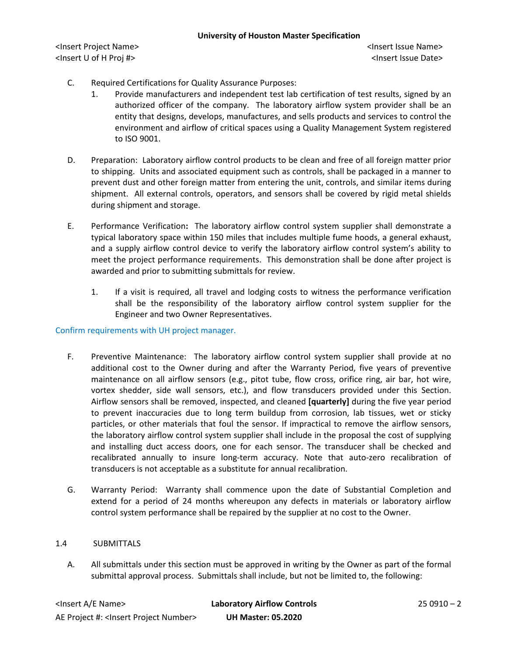- C. Required Certifications for Quality Assurance Purposes:
	- 1. Provide manufacturers and independent test lab certification of test results, signed by an authorized officer of the company. The laboratory airflow system provider shall be an entity that designs, develops, manufactures, and sells products and services to control the environment and airflow of critical spaces using a Quality Management System registered to ISO 9001.
- D. Preparation: Laboratory airflow control products to be clean and free of all foreign matter prior to shipping. Units and associated equipment such as controls, shall be packaged in a manner to prevent dust and other foreign matter from entering the unit, controls, and similar items during shipment. All external controls, operators, and sensors shall be covered by rigid metal shields during shipment and storage.
- E. Performance Verification**:** The laboratory airflow control system supplier shall demonstrate a typical laboratory space within 150 miles that includes multiple fume hoods, a general exhaust, and a supply airflow control device to verify the laboratory airflow control system's ability to meet the project performance requirements. This demonstration shall be done after project is awarded and prior to submitting submittals for review.
	- 1. If a visit is required, all travel and lodging costs to witness the performance verification shall be the responsibility of the laboratory airflow control system supplier for the Engineer and two Owner Representatives.

## Confirm requirements with UH project manager.

- F. Preventive Maintenance: The laboratory airflow control system supplier shall provide at no additional cost to the Owner during and after the Warranty Period, five years of preventive maintenance on all airflow sensors (e.g., pitot tube, flow cross, orifice ring, air bar, hot wire, vortex shedder, side wall sensors, etc.), and flow transducers provided under this Section. Airflow sensors shall be removed, inspected, and cleaned **[quarterly]** during the five year period to prevent inaccuracies due to long term buildup from corrosion, lab tissues, wet or sticky particles, or other materials that foul the sensor. If impractical to remove the airflow sensors, the laboratory airflow control system supplier shall include in the proposal the cost of supplying and installing duct access doors, one for each sensor. The transducer shall be checked and recalibrated annually to insure long-term accuracy. Note that auto-zero recalibration of transducers is not acceptable as a substitute for annual recalibration.
- G. Warranty Period: Warranty shall commence upon the date of Substantial Completion and extend for a period of 24 months whereupon any defects in materials or laboratory airflow control system performance shall be repaired by the supplier at no cost to the Owner.

## 1.4 SUBMITTALS

A. All submittals under this section must be approved in writing by the Owner as part of the formal submittal approval process. Submittals shall include, but not be limited to, the following: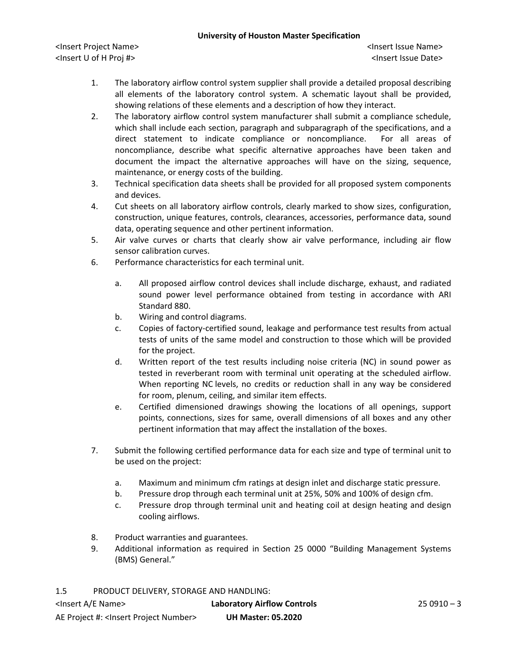<Insert Project Name> <Insert Issue Name> <Insert U of H Proj #> <Insert Issue Date>

- 1. The laboratory airflow control system supplier shall provide a detailed proposal describing all elements of the laboratory control system. A schematic layout shall be provided, showing relations of these elements and a description of how they interact.
- 2. The laboratory airflow control system manufacturer shall submit a compliance schedule, which shall include each section, paragraph and subparagraph of the specifications, and a direct statement to indicate compliance or noncompliance. For all areas of noncompliance, describe what specific alternative approaches have been taken and document the impact the alternative approaches will have on the sizing, sequence, maintenance, or energy costs of the building.
- 3. Technical specification data sheets shall be provided for all proposed system components and devices.
- 4. Cut sheets on all laboratory airflow controls, clearly marked to show sizes, configuration, construction, unique features, controls, clearances, accessories, performance data, sound data, operating sequence and other pertinent information.
- 5. Air valve curves or charts that clearly show air valve performance, including air flow sensor calibration curves.
- 6. Performance characteristics for each terminal unit.
	- a. All proposed airflow control devices shall include discharge, exhaust, and radiated sound power level performance obtained from testing in accordance with ARI Standard 880.
	- b. Wiring and control diagrams.
	- c. Copies of factory-certified sound, leakage and performance test results from actual tests of units of the same model and construction to those which will be provided for the project.
	- d. Written report of the test results including noise criteria (NC) in sound power as tested in reverberant room with terminal unit operating at the scheduled airflow. When reporting NC levels, no credits or reduction shall in any way be considered for room, plenum, ceiling, and similar item effects.
	- e. Certified dimensioned drawings showing the locations of all openings, support points, connections, sizes for same, overall dimensions of all boxes and any other pertinent information that may affect the installation of the boxes.
- 7. Submit the following certified performance data for each size and type of terminal unit to be used on the project:
	- a. Maximum and minimum cfm ratings at design inlet and discharge static pressure.
	- b. Pressure drop through each terminal unit at 25%, 50% and 100% of design cfm.
	- c. Pressure drop through terminal unit and heating coil at design heating and design cooling airflows.
- 8. Product warranties and guarantees.
- 9. Additional information as required in Section 25 0000 "Building Management Systems (BMS) General."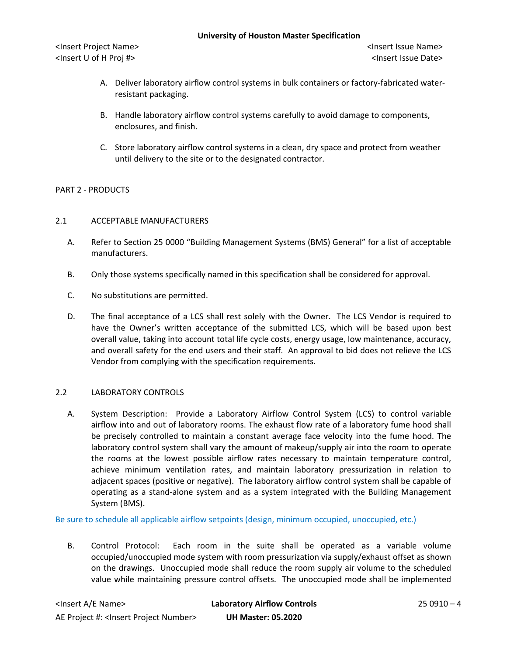- A. Deliver laboratory airflow control systems in bulk containers or factory-fabricated waterresistant packaging.
- B. Handle laboratory airflow control systems carefully to avoid damage to components, enclosures, and finish.
- C. Store laboratory airflow control systems in a clean, dry space and protect from weather until delivery to the site or to the designated contractor.

# PART 2 - PRODUCTS

# 2.1 ACCEPTABLE MANUFACTURERS

- A. Refer to Section 25 0000 "Building Management Systems (BMS) General" for a list of acceptable manufacturers.
- B. Only those systems specifically named in this specification shall be considered for approval.
- C. No substitutions are permitted.
- D. The final acceptance of a LCS shall rest solely with the Owner. The LCS Vendor is required to have the Owner's written acceptance of the submitted LCS, which will be based upon best overall value, taking into account total life cycle costs, energy usage, low maintenance, accuracy, and overall safety for the end users and their staff. An approval to bid does not relieve the LCS Vendor from complying with the specification requirements.

## 2.2 LABORATORY CONTROLS

A. System Description: Provide a Laboratory Airflow Control System (LCS) to control variable airflow into and out of laboratory rooms. The exhaust flow rate of a laboratory fume hood shall be precisely controlled to maintain a constant average face velocity into the fume hood. The laboratory control system shall vary the amount of makeup/supply air into the room to operate the rooms at the lowest possible airflow rates necessary to maintain temperature control, achieve minimum ventilation rates, and maintain laboratory pressurization in relation to adjacent spaces (positive or negative). The laboratory airflow control system shall be capable of operating as a stand-alone system and as a system integrated with the Building Management System (BMS).

Be sure to schedule all applicable airflow setpoints (design, minimum occupied, unoccupied, etc.)

B. Control Protocol: Each room in the suite shall be operated as a variable volume occupied/unoccupied mode system with room pressurization via supply/exhaust offset as shown on the drawings. Unoccupied mode shall reduce the room supply air volume to the scheduled value while maintaining pressure control offsets. The unoccupied mode shall be implemented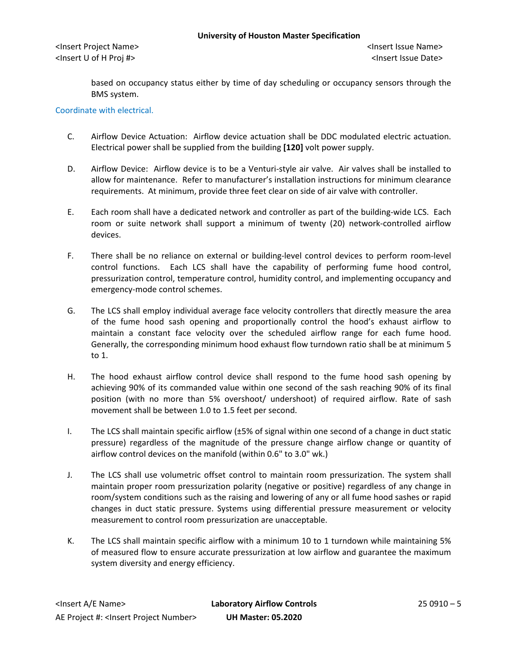based on occupancy status either by time of day scheduling or occupancy sensors through the BMS system.

Coordinate with electrical.

- C. Airflow Device Actuation: Airflow device actuation shall be DDC modulated electric actuation. Electrical power shall be supplied from the building **[120]** volt power supply.
- D. Airflow Device: Airflow device is to be a Venturi-style air valve. Air valves shall be installed to allow for maintenance. Refer to manufacturer's installation instructions for minimum clearance requirements. At minimum, provide three feet clear on side of air valve with controller.
- E. Each room shall have a dedicated network and controller as part of the building-wide LCS. Each room or suite network shall support a minimum of twenty (20) network-controlled airflow devices.
- F. There shall be no reliance on external or building-level control devices to perform room-level control functions. Each LCS shall have the capability of performing fume hood control, pressurization control, temperature control, humidity control, and implementing occupancy and emergency-mode control schemes.
- G. The LCS shall employ individual average face velocity controllers that directly measure the area of the fume hood sash opening and proportionally control the hood's exhaust airflow to maintain a constant face velocity over the scheduled airflow range for each fume hood. Generally, the corresponding minimum hood exhaust flow turndown ratio shall be at minimum 5 to 1.
- H. The hood exhaust airflow control device shall respond to the fume hood sash opening by achieving 90% of its commanded value within one second of the sash reaching 90% of its final position (with no more than 5% overshoot/ undershoot) of required airflow. Rate of sash movement shall be between 1.0 to 1.5 feet per second.
- I. The LCS shall maintain specific airflow (±5% of signal within one second of a change in duct static pressure) regardless of the magnitude of the pressure change airflow change or quantity of airflow control devices on the manifold (within 0.6" to 3.0" wk.)
- J. The LCS shall use volumetric offset control to maintain room pressurization. The system shall maintain proper room pressurization polarity (negative or positive) regardless of any change in room/system conditions such as the raising and lowering of any or all fume hood sashes or rapid changes in duct static pressure. Systems using differential pressure measurement or velocity measurement to control room pressurization are unacceptable.
- K. The LCS shall maintain specific airflow with a minimum 10 to 1 turndown while maintaining 5% of measured flow to ensure accurate pressurization at low airflow and guarantee the maximum system diversity and energy efficiency.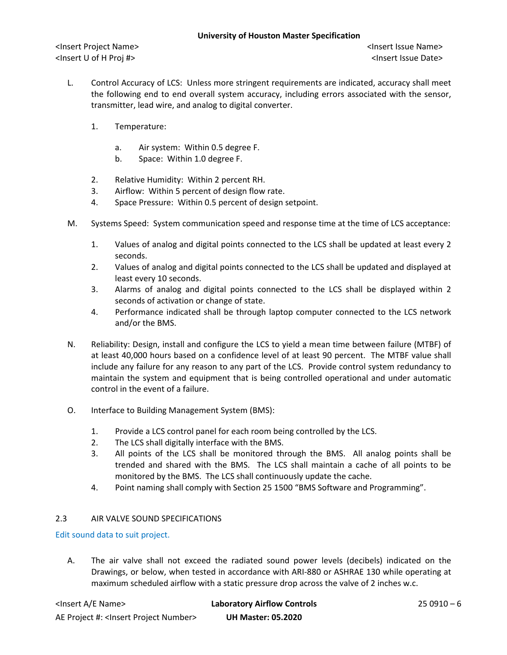- L. Control Accuracy of LCS: Unless more stringent requirements are indicated, accuracy shall meet the following end to end overall system accuracy, including errors associated with the sensor, transmitter, lead wire, and analog to digital converter.
	- 1. Temperature:
		- a. Air system: Within 0.5 degree F.
		- b. Space: Within 1.0 degree F.
	- 2. Relative Humidity: Within 2 percent RH.
	- 3. Airflow: Within 5 percent of design flow rate.
	- 4. Space Pressure: Within 0.5 percent of design setpoint.
- M. Systems Speed: System communication speed and response time at the time of LCS acceptance:
	- 1. Values of analog and digital points connected to the LCS shall be updated at least every 2 seconds.
	- 2. Values of analog and digital points connected to the LCS shall be updated and displayed at least every 10 seconds.
	- 3. Alarms of analog and digital points connected to the LCS shall be displayed within 2 seconds of activation or change of state.
	- 4. Performance indicated shall be through laptop computer connected to the LCS network and/or the BMS.
- N. Reliability: Design, install and configure the LCS to yield a mean time between failure (MTBF) of at least 40,000 hours based on a confidence level of at least 90 percent. The MTBF value shall include any failure for any reason to any part of the LCS. Provide control system redundancy to maintain the system and equipment that is being controlled operational and under automatic control in the event of a failure.
- O. Interface to Building Management System (BMS):
	- 1. Provide a LCS control panel for each room being controlled by the LCS.
	- 2. The LCS shall digitally interface with the BMS.
	- 3. All points of the LCS shall be monitored through the BMS. All analog points shall be trended and shared with the BMS. The LCS shall maintain a cache of all points to be monitored by the BMS. The LCS shall continuously update the cache.
	- 4. Point naming shall comply with Section 25 1500 "BMS Software and Programming".

# 2.3 AIR VALVE SOUND SPECIFICATIONS

# Edit sound data to suit project.

A. The air valve shall not exceed the radiated sound power levels (decibels) indicated on the Drawings, or below, when tested in accordance with ARI-880 or ASHRAE 130 while operating at maximum scheduled airflow with a static pressure drop across the valve of 2 inches w.c.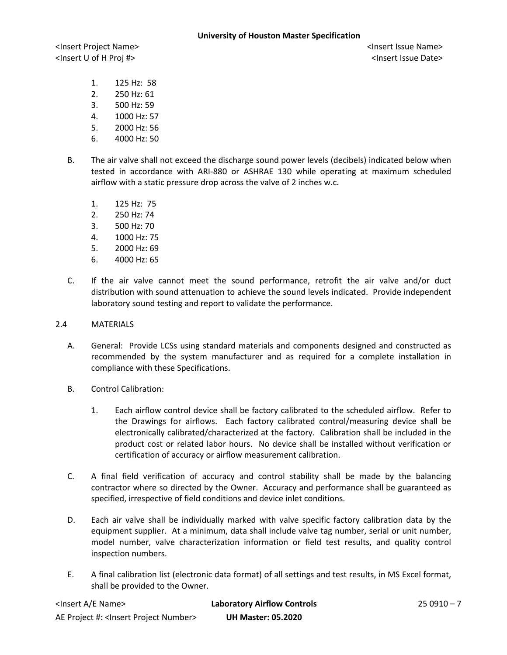- 1. 125 Hz: 58
- 2. 250 Hz: 61
- 3. 500 Hz: 59
- 4. 1000 Hz: 57
- 5. 2000 Hz: 56
- 6. 4000 Hz: 50
- B. The air valve shall not exceed the discharge sound power levels (decibels) indicated below when tested in accordance with ARI-880 or ASHRAE 130 while operating at maximum scheduled airflow with a static pressure drop across the valve of 2 inches w.c.
	- 1. 125 Hz: 75
	- 2. 250 Hz: 74
	- 3. 500 Hz: 70
	- 4. 1000 Hz: 75
	- 5. 2000 Hz: 69
	- 6. 4000 Hz: 65
- C. If the air valve cannot meet the sound performance, retrofit the air valve and/or duct distribution with sound attenuation to achieve the sound levels indicated. Provide independent laboratory sound testing and report to validate the performance.

## 2.4 MATERIALS

- A. General: Provide LCSs using standard materials and components designed and constructed as recommended by the system manufacturer and as required for a complete installation in compliance with these Specifications.
- B. Control Calibration:
	- 1. Each airflow control device shall be factory calibrated to the scheduled airflow. Refer to the Drawings for airflows. Each factory calibrated control/measuring device shall be electronically calibrated/characterized at the factory. Calibration shall be included in the product cost or related labor hours. No device shall be installed without verification or certification of accuracy or airflow measurement calibration.
- C. A final field verification of accuracy and control stability shall be made by the balancing contractor where so directed by the Owner. Accuracy and performance shall be guaranteed as specified, irrespective of field conditions and device inlet conditions.
- D. Each air valve shall be individually marked with valve specific factory calibration data by the equipment supplier. At a minimum, data shall include valve tag number, serial or unit number, model number, valve characterization information or field test results, and quality control inspection numbers.
- E. A final calibration list (electronic data format) of all settings and test results, in MS Excel format, shall be provided to the Owner.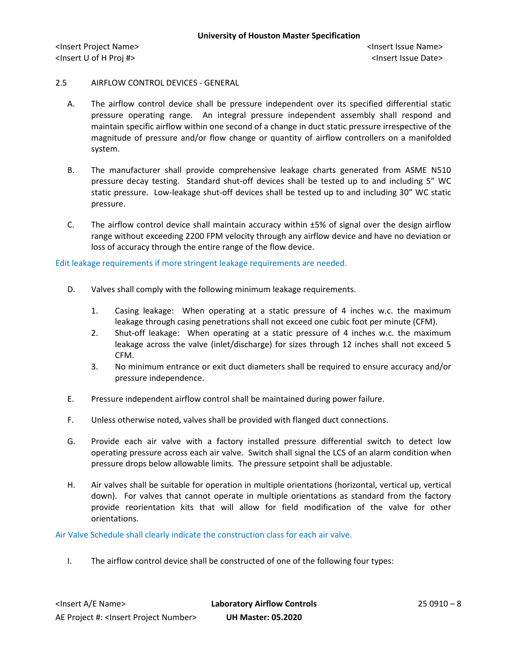## 2.5 AIRFLOW CONTROL DEVICES - GENERAL

- A. The airflow control device shall be pressure independent over its specified differential static pressure operating range. An integral pressure independent assembly shall respond and maintain specific airflow within one second of a change in duct static pressure irrespective of the magnitude of pressure and/or flow change or quantity of airflow controllers on a manifolded system.
- B. The manufacturer shall provide comprehensive leakage charts generated from ASME N510 pressure decay testing. Standard shut-off devices shall be tested up to and including 5" WC static pressure. Low-leakage shut-off devices shall be tested up to and including 30" WC static pressure.
- C. The airflow control device shall maintain accuracy within  $\pm 5\%$  of signal over the design airflow range without exceeding 2200 FPM velocity through any airflow device and have no deviation or loss of accuracy through the entire range of the flow device.

Edit leakage requirements if more stringent leakage requirements are needed.

- D. Valves shall comply with the following minimum leakage requirements.
	- 1. Casing leakage: When operating at a static pressure of 4 inches w.c. the maximum leakage through casing penetrations shall not exceed one cubic foot per minute (CFM).
	- 2. Shut-off leakage: When operating at a static pressure of 4 inches w.c. the maximum leakage across the valve (inlet/discharge) for sizes through 12 inches shall not exceed 5 CFM.
	- 3. No minimum entrance or exit duct diameters shall be required to ensure accuracy and/or pressure independence.
- E. Pressure independent airflow control shall be maintained during power failure.
- F. Unless otherwise noted, valves shall be provided with flanged duct connections.
- G. Provide each air valve with a factory installed pressure differential switch to detect low operating pressure across each air valve. Switch shall signal the LCS of an alarm condition when pressure drops below allowable limits. The pressure setpoint shall be adjustable.
- H. Air valves shall be suitable for operation in multiple orientations (horizontal, vertical up, vertical down). For valves that cannot operate in multiple orientations as standard from the factory provide reorientation kits that will allow for field modification of the valve for other orientations.

Air Valve Schedule shall clearly indicate the construction class for each air valve.

I. The airflow control device shall be constructed of one of the following four types: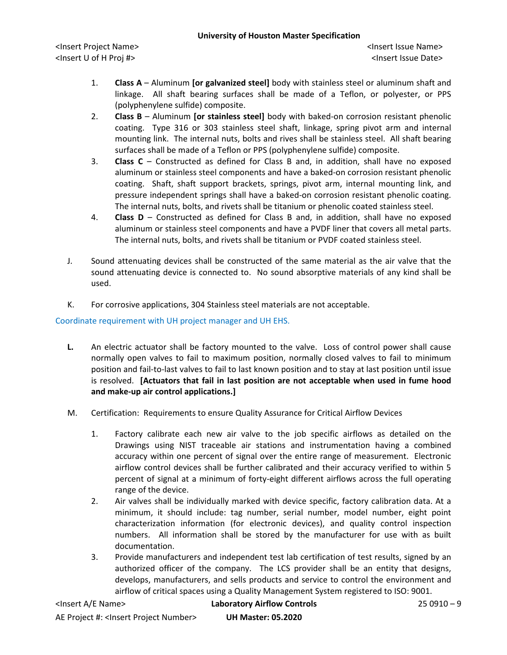<Insert Project Name> <Insert Issue Name> <Insert U of H Proj #> <Insert Issue Date>

- 1. **Class A** Aluminum **[or galvanized steel]** body with stainless steel or aluminum shaft and linkage. All shaft bearing surfaces shall be made of a Teflon, or polyester, or PPS (polyphenylene sulfide) composite.
- 2. **Class B** Aluminum **[or stainless steel]** body with baked-on corrosion resistant phenolic coating. Type 316 or 303 stainless steel shaft, linkage, spring pivot arm and internal mounting link. The internal nuts, bolts and rives shall be stainless steel. All shaft bearing surfaces shall be made of a Teflon or PPS (polyphenylene sulfide) composite.
- 3. **Class C** Constructed as defined for Class B and, in addition, shall have no exposed aluminum or stainless steel components and have a baked-on corrosion resistant phenolic coating. Shaft, shaft support brackets, springs, pivot arm, internal mounting link, and pressure independent springs shall have a baked-on corrosion resistant phenolic coating. The internal nuts, bolts, and rivets shall be titanium or phenolic coated stainless steel.
- 4. **Class D** Constructed as defined for Class B and, in addition, shall have no exposed aluminum or stainless steel components and have a PVDF liner that covers all metal parts. The internal nuts, bolts, and rivets shall be titanium or PVDF coated stainless steel.
- J. Sound attenuating devices shall be constructed of the same material as the air valve that the sound attenuating device is connected to. No sound absorptive materials of any kind shall be used.
- K. For corrosive applications, 304 Stainless steel materials are not acceptable.

Coordinate requirement with UH project manager and UH EHS.

- **L.** An electric actuator shall be factory mounted to the valve. Loss of control power shall cause normally open valves to fail to maximum position, normally closed valves to fail to minimum position and fail-to-last valves to fail to last known position and to stay at last position until issue is resolved. **[Actuators that fail in last position are not acceptable when used in fume hood and make-up air control applications.]**
- M. Certification: Requirements to ensure Quality Assurance for Critical Airflow Devices
	- 1. Factory calibrate each new air valve to the job specific airflows as detailed on the Drawings using NIST traceable air stations and instrumentation having a combined accuracy within one percent of signal over the entire range of measurement. Electronic airflow control devices shall be further calibrated and their accuracy verified to within 5 percent of signal at a minimum of forty-eight different airflows across the full operating range of the device.
	- 2. Air valves shall be individually marked with device specific, factory calibration data. At a minimum, it should include: tag number, serial number, model number, eight point characterization information (for electronic devices), and quality control inspection numbers. All information shall be stored by the manufacturer for use with as built documentation.
	- 3. Provide manufacturers and independent test lab certification of test results, signed by an authorized officer of the company. The LCS provider shall be an entity that designs, develops, manufacturers, and sells products and service to control the environment and airflow of critical spaces using a Quality Management System registered to ISO: 9001.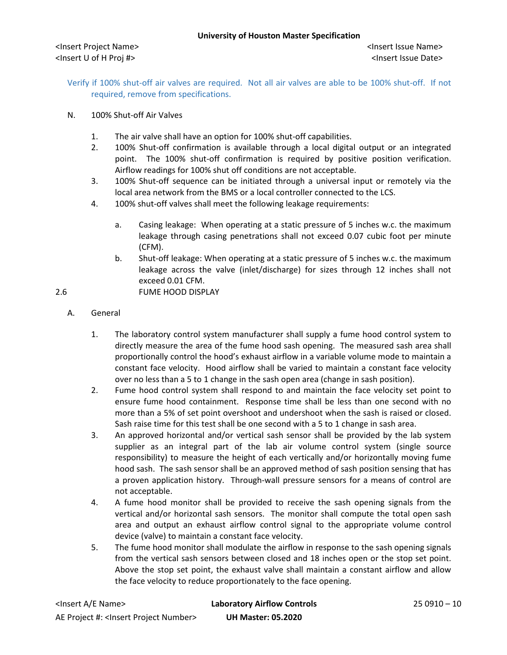Verify if 100% shut-off air valves are required. Not all air valves are able to be 100% shut-off. If not required, remove from specifications.

- N. 100% Shut-off Air Valves
	- 1. The air valve shall have an option for 100% shut-off capabilities.
	- 2. 100% Shut-off confirmation is available through a local digital output or an integrated point. The 100% shut-off confirmation is required by positive position verification. Airflow readings for 100% shut off conditions are not acceptable.
	- 3. 100% Shut-off sequence can be initiated through a universal input or remotely via the local area network from the BMS or a local controller connected to the LCS.
	- 4. 100% shut-off valves shall meet the following leakage requirements:
		- a. Casing leakage: When operating at a static pressure of 5 inches w.c. the maximum leakage through casing penetrations shall not exceed 0.07 cubic foot per minute (CFM).
		- b. Shut-off leakage: When operating at a static pressure of 5 inches w.c. the maximum leakage across the valve (inlet/discharge) for sizes through 12 inches shall not exceed 0.01 CFM.

2.6 FUME HOOD DISPLAY

- A. General
	- 1. The laboratory control system manufacturer shall supply a fume hood control system to directly measure the area of the fume hood sash opening. The measured sash area shall proportionally control the hood's exhaust airflow in a variable volume mode to maintain a constant face velocity. Hood airflow shall be varied to maintain a constant face velocity over no less than a 5 to 1 change in the sash open area (change in sash position).
	- 2. Fume hood control system shall respond to and maintain the face velocity set point to ensure fume hood containment. Response time shall be less than one second with no more than a 5% of set point overshoot and undershoot when the sash is raised or closed. Sash raise time for this test shall be one second with a 5 to 1 change in sash area.
	- 3. An approved horizontal and/or vertical sash sensor shall be provided by the lab system supplier as an integral part of the lab air volume control system (single source responsibility) to measure the height of each vertically and/or horizontally moving fume hood sash. The sash sensor shall be an approved method of sash position sensing that has a proven application history. Through-wall pressure sensors for a means of control are not acceptable.
	- 4. A fume hood monitor shall be provided to receive the sash opening signals from the vertical and/or horizontal sash sensors. The monitor shall compute the total open sash area and output an exhaust airflow control signal to the appropriate volume control device (valve) to maintain a constant face velocity.
	- 5. The fume hood monitor shall modulate the airflow in response to the sash opening signals from the vertical sash sensors between closed and 18 inches open or the stop set point. Above the stop set point, the exhaust valve shall maintain a constant airflow and allow the face velocity to reduce proportionately to the face opening.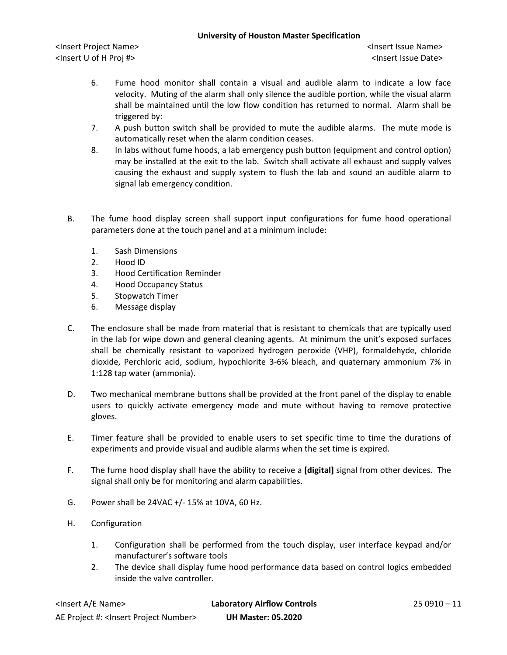<Insert Project Name> <Insert Issue Name> <Insert U of H Proj #> <Insert Issue Date>

- 6. Fume hood monitor shall contain a visual and audible alarm to indicate a low face velocity. Muting of the alarm shall only silence the audible portion, while the visual alarm shall be maintained until the low flow condition has returned to normal. Alarm shall be triggered by:
- 7. A push button switch shall be provided to mute the audible alarms. The mute mode is automatically reset when the alarm condition ceases.
- 8. In labs without fume hoods, a lab emergency push button (equipment and control option) may be installed at the exit to the lab. Switch shall activate all exhaust and supply valves causing the exhaust and supply system to flush the lab and sound an audible alarm to signal lab emergency condition.
- B. The fume hood display screen shall support input configurations for fume hood operational parameters done at the touch panel and at a minimum include:
	- 1. Sash Dimensions
	- 2. Hood ID
	- 3. Hood Certification Reminder
	- 4. Hood Occupancy Status
	- 5. Stopwatch Timer
	- 6. Message display
- C. The enclosure shall be made from material that is resistant to chemicals that are typically used in the lab for wipe down and general cleaning agents. At minimum the unit's exposed surfaces shall be chemically resistant to vaporized hydrogen peroxide (VHP), formaldehyde, chloride dioxide, Perchloric acid, sodium, hypochlorite 3-6% bleach, and quaternary ammonium 7% in 1:128 tap water (ammonia).
- D. Two mechanical membrane buttons shall be provided at the front panel of the display to enable users to quickly activate emergency mode and mute without having to remove protective gloves.
- E. Timer feature shall be provided to enable users to set specific time to time the durations of experiments and provide visual and audible alarms when the set time is expired.
- F. The fume hood display shall have the ability to receive a **[digital]** signal from other devices. The signal shall only be for monitoring and alarm capabilities.
- G. Power shall be 24VAC +/- 15% at 10VA, 60 Hz.
- H. Configuration
	- 1. Configuration shall be performed from the touch display, user interface keypad and/or manufacturer's software tools
	- 2. The device shall display fume hood performance data based on control logics embedded inside the valve controller.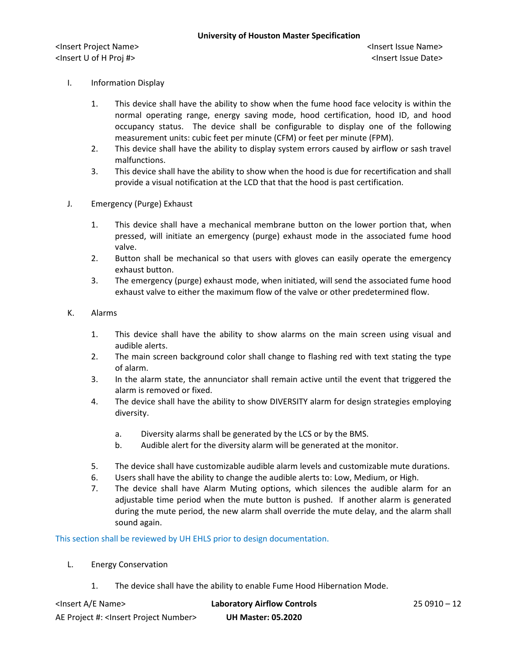- I. Information Display
	- 1. This device shall have the ability to show when the fume hood face velocity is within the normal operating range, energy saving mode, hood certification, hood ID, and hood occupancy status. The device shall be configurable to display one of the following measurement units: cubic feet per minute (CFM) or feet per minute (FPM).
	- 2. This device shall have the ability to display system errors caused by airflow or sash travel malfunctions.
	- 3. This device shall have the ability to show when the hood is due for recertification and shall provide a visual notification at the LCD that that the hood is past certification.
- J. Emergency (Purge) Exhaust
	- 1. This device shall have a mechanical membrane button on the lower portion that, when pressed, will initiate an emergency (purge) exhaust mode in the associated fume hood valve.
	- 2. Button shall be mechanical so that users with gloves can easily operate the emergency exhaust button.
	- 3. The emergency (purge) exhaust mode, when initiated, will send the associated fume hood exhaust valve to either the maximum flow of the valve or other predetermined flow.
- K. Alarms
	- 1. This device shall have the ability to show alarms on the main screen using visual and audible alerts.
	- 2. The main screen background color shall change to flashing red with text stating the type of alarm.
	- 3. In the alarm state, the annunciator shall remain active until the event that triggered the alarm is removed or fixed.
	- 4. The device shall have the ability to show DIVERSITY alarm for design strategies employing diversity.
		- a. Diversity alarms shall be generated by the LCS or by the BMS.
		- b. Audible alert for the diversity alarm will be generated at the monitor.
	- 5. The device shall have customizable audible alarm levels and customizable mute durations.
	- 6. Users shall have the ability to change the audible alerts to: Low, Medium, or High.
	- 7. The device shall have Alarm Muting options, which silences the audible alarm for an adjustable time period when the mute button is pushed. If another alarm is generated during the mute period, the new alarm shall override the mute delay, and the alarm shall sound again.

This section shall be reviewed by UH EHLS prior to design documentation.

- L. Energy Conservation
	- 1. The device shall have the ability to enable Fume Hood Hibernation Mode.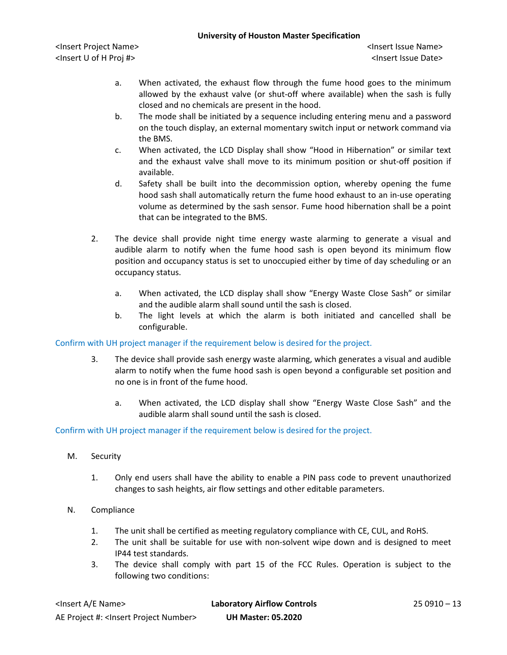<Insert Project Name> <Insert Issue Name> <Insert U of H Proj #> <Insert Issue Date>

- a. When activated, the exhaust flow through the fume hood goes to the minimum allowed by the exhaust valve (or shut-off where available) when the sash is fully closed and no chemicals are present in the hood.
- b. The mode shall be initiated by a sequence including entering menu and a password on the touch display, an external momentary switch input or network command via the BMS.
- c. When activated, the LCD Display shall show "Hood in Hibernation" or similar text and the exhaust valve shall move to its minimum position or shut-off position if available.
- d. Safety shall be built into the decommission option, whereby opening the fume hood sash shall automatically return the fume hood exhaust to an in-use operating volume as determined by the sash sensor. Fume hood hibernation shall be a point that can be integrated to the BMS.
- 2. The device shall provide night time energy waste alarming to generate a visual and audible alarm to notify when the fume hood sash is open beyond its minimum flow position and occupancy status is set to unoccupied either by time of day scheduling or an occupancy status.
	- a. When activated, the LCD display shall show "Energy Waste Close Sash" or similar and the audible alarm shall sound until the sash is closed.
	- b. The light levels at which the alarm is both initiated and cancelled shall be configurable.

Confirm with UH project manager if the requirement below is desired for the project.

- 3. The device shall provide sash energy waste alarming, which generates a visual and audible alarm to notify when the fume hood sash is open beyond a configurable set position and no one is in front of the fume hood.
	- a. When activated, the LCD display shall show "Energy Waste Close Sash" and the audible alarm shall sound until the sash is closed.

# Confirm with UH project manager if the requirement below is desired for the project.

- M. Security
	- 1. Only end users shall have the ability to enable a PIN pass code to prevent unauthorized changes to sash heights, air flow settings and other editable parameters.
- N. Compliance
	- 1. The unit shall be certified as meeting regulatory compliance with CE, CUL, and RoHS.
	- 2. The unit shall be suitable for use with non-solvent wipe down and is designed to meet IP44 test standards.
	- 3. The device shall comply with part 15 of the FCC Rules. Operation is subject to the following two conditions: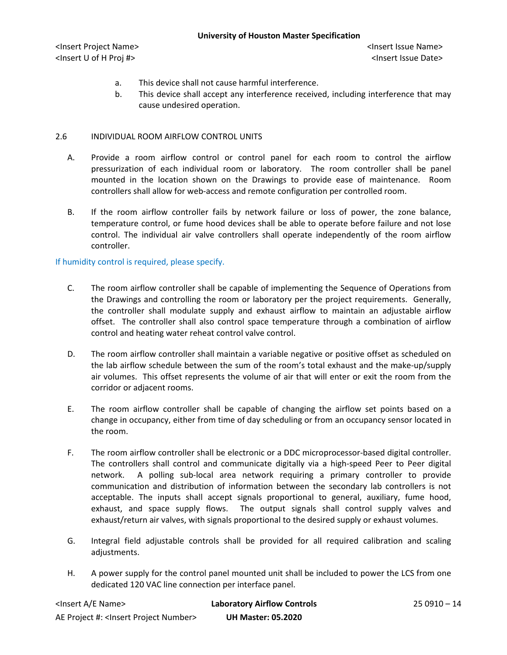- a. This device shall not cause harmful interference.
- b. This device shall accept any interference received, including interference that may cause undesired operation.

## 2.6 INDIVIDUAL ROOM AIRFLOW CONTROL UNITS

- A. Provide a room airflow control or control panel for each room to control the airflow pressurization of each individual room or laboratory. The room controller shall be panel mounted in the location shown on the Drawings to provide ease of maintenance. Room controllers shall allow for web-access and remote configuration per controlled room.
- B. If the room airflow controller fails by network failure or loss of power, the zone balance, temperature control, or fume hood devices shall be able to operate before failure and not lose control. The individual air valve controllers shall operate independently of the room airflow controller.

# If humidity control is required, please specify.

- C. The room airflow controller shall be capable of implementing the Sequence of Operations from the Drawings and controlling the room or laboratory per the project requirements. Generally, the controller shall modulate supply and exhaust airflow to maintain an adjustable airflow offset. The controller shall also control space temperature through a combination of airflow control and heating water reheat control valve control.
- D. The room airflow controller shall maintain a variable negative or positive offset as scheduled on the lab airflow schedule between the sum of the room's total exhaust and the make-up/supply air volumes. This offset represents the volume of air that will enter or exit the room from the corridor or adjacent rooms.
- E. The room airflow controller shall be capable of changing the airflow set points based on a change in occupancy, either from time of day scheduling or from an occupancy sensor located in the room.
- F. The room airflow controller shall be electronic or a DDC microprocessor-based digital controller. The controllers shall control and communicate digitally via a high-speed Peer to Peer digital network. A polling sub-local area network requiring a primary controller to provide communication and distribution of information between the secondary lab controllers is not acceptable. The inputs shall accept signals proportional to general, auxiliary, fume hood, exhaust, and space supply flows. The output signals shall control supply valves and exhaust/return air valves, with signals proportional to the desired supply or exhaust volumes.
- G. Integral field adjustable controls shall be provided for all required calibration and scaling adjustments.
- H. A power supply for the control panel mounted unit shall be included to power the LCS from one dedicated 120 VAC line connection per interface panel.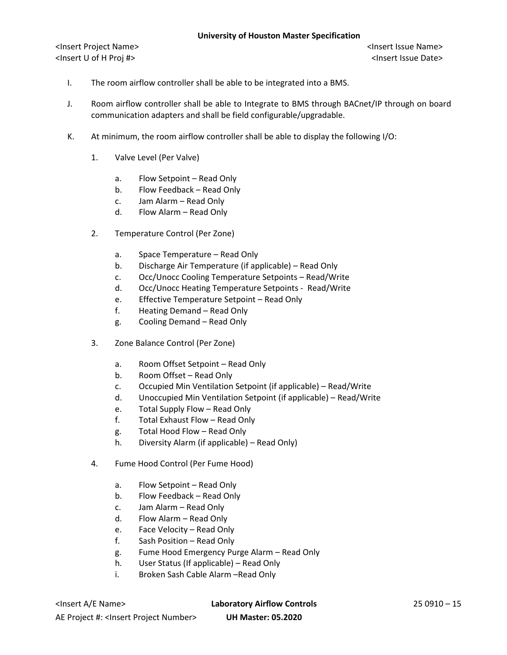- I. The room airflow controller shall be able to be integrated into a BMS.
- J. Room airflow controller shall be able to Integrate to BMS through BACnet/IP through on board communication adapters and shall be field configurable/upgradable.
- K. At minimum, the room airflow controller shall be able to display the following I/O:
	- 1. Valve Level (Per Valve)
		- a. Flow Setpoint Read Only
		- b. Flow Feedback Read Only
		- c. Jam Alarm Read Only
		- d. Flow Alarm Read Only
	- 2. Temperature Control (Per Zone)
		- a. Space Temperature Read Only
		- b. Discharge Air Temperature (if applicable) Read Only
		- c. Occ/Unocc Cooling Temperature Setpoints Read/Write
		- d. Occ/Unocc Heating Temperature Setpoints Read/Write
		- e. Effective Temperature Setpoint Read Only
		- f. Heating Demand Read Only
		- g. Cooling Demand Read Only
	- 3. Zone Balance Control (Per Zone)
		- a. Room Offset Setpoint Read Only
		- b. Room Offset Read Only
		- c. Occupied Min Ventilation Setpoint (if applicable) Read/Write
		- d. Unoccupied Min Ventilation Setpoint (if applicable) Read/Write
		- e. Total Supply Flow Read Only
		- f. Total Exhaust Flow Read Only
		- g. Total Hood Flow Read Only
		- h. Diversity Alarm (if applicable) Read Only)
	- 4. Fume Hood Control (Per Fume Hood)
		- a. Flow Setpoint Read Only
		- b. Flow Feedback Read Only
		- c. Jam Alarm Read Only
		- d. Flow Alarm Read Only
		- e. Face Velocity Read Only
		- f. Sash Position Read Only
		- g. Fume Hood Emergency Purge Alarm Read Only
		- h. User Status (If applicable) Read Only
		- i. Broken Sash Cable Alarm –Read Only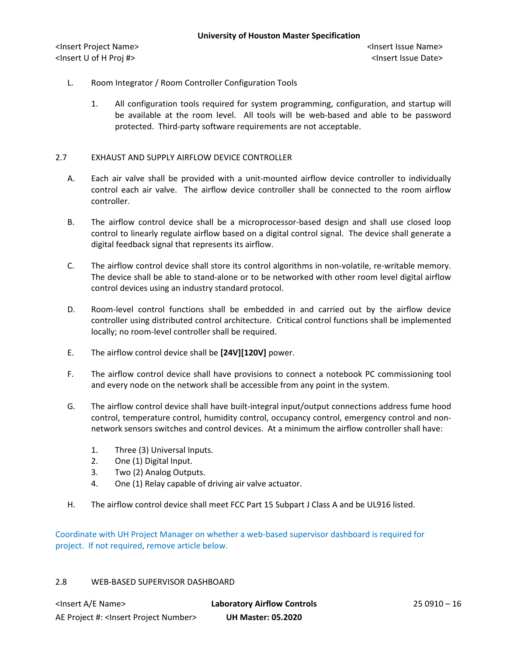- L. Room Integrator / Room Controller Configuration Tools
	- 1. All configuration tools required for system programming, configuration, and startup will be available at the room level. All tools will be web-based and able to be password protected. Third-party software requirements are not acceptable.

# 2.7 EXHAUST AND SUPPLY AIRFLOW DEVICE CONTROLLER

- A. Each air valve shall be provided with a unit-mounted airflow device controller to individually control each air valve. The airflow device controller shall be connected to the room airflow controller.
- B. The airflow control device shall be a microprocessor-based design and shall use closed loop control to linearly regulate airflow based on a digital control signal. The device shall generate a digital feedback signal that represents its airflow.
- C. The airflow control device shall store its control algorithms in non-volatile, re-writable memory. The device shall be able to stand-alone or to be networked with other room level digital airflow control devices using an industry standard protocol.
- D. Room-level control functions shall be embedded in and carried out by the airflow device controller using distributed control architecture. Critical control functions shall be implemented locally; no room-level controller shall be required.
- E. The airflow control device shall be **[24V][120V]** power.
- F. The airflow control device shall have provisions to connect a notebook PC commissioning tool and every node on the network shall be accessible from any point in the system.
- G. The airflow control device shall have built-integral input/output connections address fume hood control, temperature control, humidity control, occupancy control, emergency control and nonnetwork sensors switches and control devices. At a minimum the airflow controller shall have:
	- 1. Three (3) Universal Inputs.
	- 2. One (1) Digital Input.
	- 3. Two (2) Analog Outputs.
	- 4. One (1) Relay capable of driving air valve actuator.
- H. The airflow control device shall meet FCC Part 15 Subpart J Class A and be UL916 listed.

Coordinate with UH Project Manager on whether a web-based supervisor dashboard is required for project. If not required, remove article below.

## 2.8 WEB-BASED SUPERVISOR DASHBOARD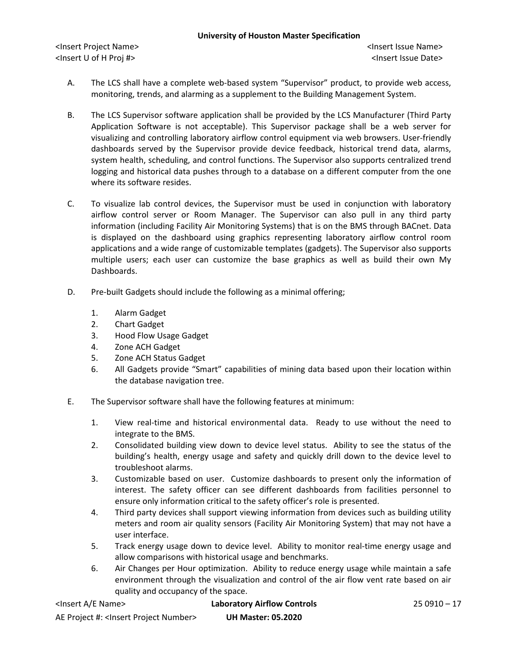- A. The LCS shall have a complete web-based system "Supervisor" product, to provide web access, monitoring, trends, and alarming as a supplement to the Building Management System.
- B. The LCS Supervisor software application shall be provided by the LCS Manufacturer (Third Party Application Software is not acceptable). This Supervisor package shall be a web server for visualizing and controlling laboratory airflow control equipment via web browsers. User-friendly dashboards served by the Supervisor provide device feedback, historical trend data, alarms, system health, scheduling, and control functions. The Supervisor also supports centralized trend logging and historical data pushes through to a database on a different computer from the one where its software resides.
- C. To visualize lab control devices, the Supervisor must be used in conjunction with laboratory airflow control server or Room Manager. The Supervisor can also pull in any third party information (including Facility Air Monitoring Systems) that is on the BMS through BACnet. Data is displayed on the dashboard using graphics representing laboratory airflow control room applications and a wide range of customizable templates (gadgets). The Supervisor also supports multiple users; each user can customize the base graphics as well as build their own My Dashboards.
- D. Pre-built Gadgets should include the following as a minimal offering;
	- 1. Alarm Gadget
	- 2. Chart Gadget
	- 3. Hood Flow Usage Gadget
	- 4. Zone ACH Gadget
	- 5. Zone ACH Status Gadget
	- 6. All Gadgets provide "Smart" capabilities of mining data based upon their location within the database navigation tree.
- E. The Supervisor software shall have the following features at minimum:
	- 1. View real-time and historical environmental data. Ready to use without the need to integrate to the BMS.
	- 2. Consolidated building view down to device level status. Ability to see the status of the building's health, energy usage and safety and quickly drill down to the device level to troubleshoot alarms.
	- 3. Customizable based on user. Customize dashboards to present only the information of interest. The safety officer can see different dashboards from facilities personnel to ensure only information critical to the safety officer's role is presented.
	- 4. Third party devices shall support viewing information from devices such as building utility meters and room air quality sensors (Facility Air Monitoring System) that may not have a user interface.
	- 5. Track energy usage down to device level. Ability to monitor real-time energy usage and allow comparisons with historical usage and benchmarks.
	- 6. Air Changes per Hour optimization. Ability to reduce energy usage while maintain a safe environment through the visualization and control of the air flow vent rate based on air quality and occupancy of the space.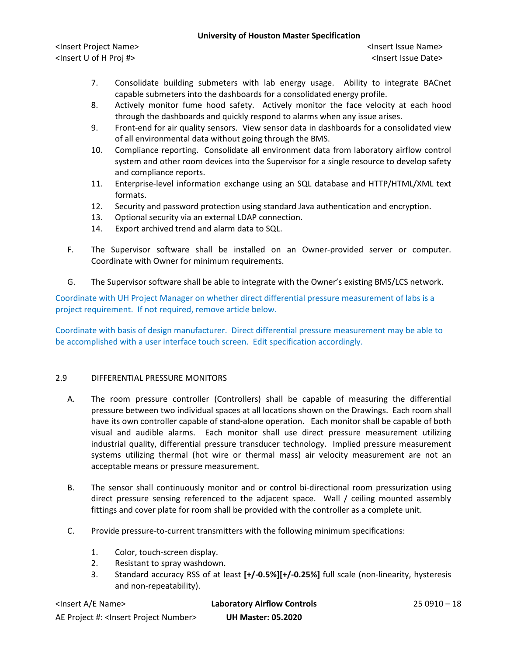<Insert Project Name> <Insert Issue Name> <Insert U of H Proj #> <Insert Issue Date>

- 7. Consolidate building submeters with lab energy usage. Ability to integrate BACnet capable submeters into the dashboards for a consolidated energy profile.
- 8. Actively monitor fume hood safety. Actively monitor the face velocity at each hood through the dashboards and quickly respond to alarms when any issue arises.
- 9. Front-end for air quality sensors. View sensor data in dashboards for a consolidated view of all environmental data without going through the BMS.
- 10. Compliance reporting. Consolidate all environment data from laboratory airflow control system and other room devices into the Supervisor for a single resource to develop safety and compliance reports.
- 11. Enterprise-level information exchange using an SQL database and HTTP/HTML/XML text formats.
- 12. Security and password protection using standard Java authentication and encryption.
- 13. Optional security via an external LDAP connection.
- 14. Export archived trend and alarm data to SQL.
- F. The Supervisor software shall be installed on an Owner-provided server or computer. Coordinate with Owner for minimum requirements.
- G. The Supervisor software shall be able to integrate with the Owner's existing BMS/LCS network.

Coordinate with UH Project Manager on whether direct differential pressure measurement of labs is a project requirement. If not required, remove article below.

Coordinate with basis of design manufacturer. Direct differential pressure measurement may be able to be accomplished with a user interface touch screen. Edit specification accordingly.

# 2.9 DIFFERENTIAL PRESSURE MONITORS

- A. The room pressure controller (Controllers) shall be capable of measuring the differential pressure between two individual spaces at all locations shown on the Drawings. Each room shall have its own controller capable of stand-alone operation. Each monitor shall be capable of both visual and audible alarms. Each monitor shall use direct pressure measurement utilizing industrial quality, differential pressure transducer technology. Implied pressure measurement systems utilizing thermal (hot wire or thermal mass) air velocity measurement are not an acceptable means or pressure measurement.
- B. The sensor shall continuously monitor and or control bi-directional room pressurization using direct pressure sensing referenced to the adjacent space. Wall / ceiling mounted assembly fittings and cover plate for room shall be provided with the controller as a complete unit.
- C. Provide pressure-to-current transmitters with the following minimum specifications:
	- 1. Color, touch-screen display.
	- 2. Resistant to spray washdown.
	- 3. Standard accuracy RSS of at least **[+/-0.5%][+/-0.25%]** full scale (non-linearity, hysteresis and non-repeatability).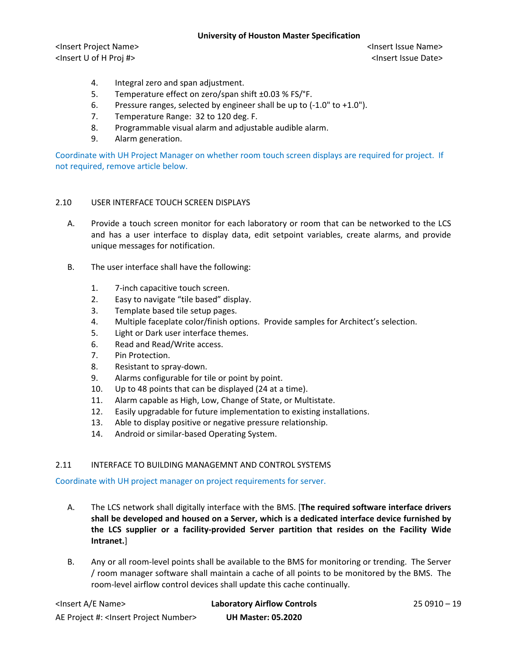<Insert Project Name> <Insert Issue Name> <Insert U of H Proj #> <Insert Issue Date>

- 4. Integral zero and span adjustment.
- 5. Temperature effect on zero/span shift ±0.03 % FS/°F.
- 6. Pressure ranges, selected by engineer shall be up to (-1.0" to +1.0").
- 7. Temperature Range: 32 to 120 deg. F.
- 8. Programmable visual alarm and adjustable audible alarm.
- 9. Alarm generation.

Coordinate with UH Project Manager on whether room touch screen displays are required for project. If not required, remove article below.

# 2.10 USER INTERFACE TOUCH SCREEN DISPLAYS

- A. Provide a touch screen monitor for each laboratory or room that can be networked to the LCS and has a user interface to display data, edit setpoint variables, create alarms, and provide unique messages for notification.
- B. The user interface shall have the following:
	- 1. 7-inch capacitive touch screen.
	- 2. Easy to navigate "tile based" display.
	- 3. Template based tile setup pages.
	- 4. Multiple faceplate color/finish options. Provide samples for Architect's selection.
	- 5. Light or Dark user interface themes.
	- 6. Read and Read/Write access.
	- 7. Pin Protection.
	- 8. Resistant to spray-down.
	- 9. Alarms configurable for tile or point by point.
	- 10. Up to 48 points that can be displayed (24 at a time).
	- 11. Alarm capable as High, Low, Change of State, or Multistate.
	- 12. Easily upgradable for future implementation to existing installations.
	- 13. Able to display positive or negative pressure relationship.
	- 14. Android or similar-based Operating System.

## 2.11 INTERFACE TO BUILDING MANAGEMNT AND CONTROL SYSTEMS

Coordinate with UH project manager on project requirements for server.

- A. The LCS network shall digitally interface with the BMS. [**The required software interface drivers shall be developed and housed on a Server, which is a dedicated interface device furnished by the LCS supplier or a facility-provided Server partition that resides on the Facility Wide Intranet.**]
- B. Any or all room-level points shall be available to the BMS for monitoring or trending. The Server / room manager software shall maintain a cache of all points to be monitored by the BMS. The room-level airflow control devices shall update this cache continually.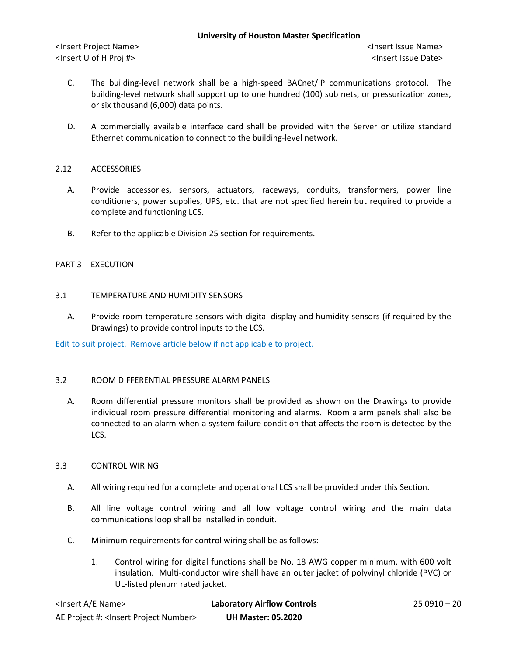- C. The building-level network shall be a high-speed BACnet/IP communications protocol. The building-level network shall support up to one hundred (100) sub nets, or pressurization zones, or six thousand (6,000) data points.
- D. A commercially available interface card shall be provided with the Server or utilize standard Ethernet communication to connect to the building-level network.

# 2.12 ACCESSORIES

- A. Provide accessories, sensors, actuators, raceways, conduits, transformers, power line conditioners, power supplies, UPS, etc. that are not specified herein but required to provide a complete and functioning LCS.
- B. Refer to the applicable Division 25 section for requirements.

## PART 3 - EXECUTION

## 3.1 TEMPERATURE AND HUMIDITY SENSORS

A. Provide room temperature sensors with digital display and humidity sensors (if required by the Drawings) to provide control inputs to the LCS.

Edit to suit project. Remove article below if not applicable to project.

## 3.2 ROOM DIFFERENTIAL PRESSURE ALARM PANELS

A. Room differential pressure monitors shall be provided as shown on the Drawings to provide individual room pressure differential monitoring and alarms. Room alarm panels shall also be connected to an alarm when a system failure condition that affects the room is detected by the LCS.

## 3.3 CONTROL WIRING

- A. All wiring required for a complete and operational LCS shall be provided under this Section.
- B. All line voltage control wiring and all low voltage control wiring and the main data communications loop shall be installed in conduit.
- C. Minimum requirements for control wiring shall be as follows:
	- 1. Control wiring for digital functions shall be No. 18 AWG copper minimum, with 600 volt insulation. Multi-conductor wire shall have an outer jacket of polyvinyl chloride (PVC) or UL-listed plenum rated jacket.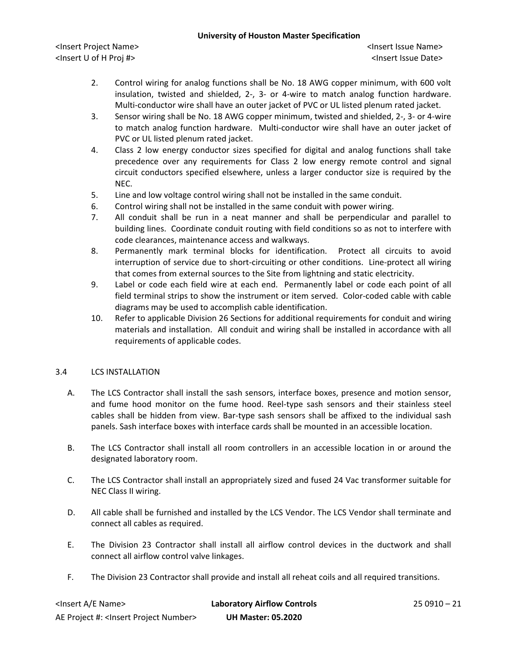<Insert Project Name> <Insert Issue Name> <Insert U of H Proj #> <Insert Issue Date>

- 2. Control wiring for analog functions shall be No. 18 AWG copper minimum, with 600 volt insulation, twisted and shielded, 2-, 3- or 4-wire to match analog function hardware. Multi-conductor wire shall have an outer jacket of PVC or UL listed plenum rated jacket.
- 3. Sensor wiring shall be No. 18 AWG copper minimum, twisted and shielded, 2-, 3- or 4-wire to match analog function hardware. Multi-conductor wire shall have an outer jacket of PVC or UL listed plenum rated jacket.
- 4. Class 2 low energy conductor sizes specified for digital and analog functions shall take precedence over any requirements for Class 2 low energy remote control and signal circuit conductors specified elsewhere, unless a larger conductor size is required by the NEC.
- 5. Line and low voltage control wiring shall not be installed in the same conduit.
- 6. Control wiring shall not be installed in the same conduit with power wiring.
- 7. All conduit shall be run in a neat manner and shall be perpendicular and parallel to building lines. Coordinate conduit routing with field conditions so as not to interfere with code clearances, maintenance access and walkways.
- 8. Permanently mark terminal blocks for identification. Protect all circuits to avoid interruption of service due to short-circuiting or other conditions. Line-protect all wiring that comes from external sources to the Site from lightning and static electricity.
- 9. Label or code each field wire at each end. Permanently label or code each point of all field terminal strips to show the instrument or item served. Color-coded cable with cable diagrams may be used to accomplish cable identification.
- 10. Refer to applicable Division 26 Sections for additional requirements for conduit and wiring materials and installation. All conduit and wiring shall be installed in accordance with all requirements of applicable codes.

# 3.4 LCS INSTALLATION

- A. The LCS Contractor shall install the sash sensors, interface boxes, presence and motion sensor, and fume hood monitor on the fume hood. Reel-type sash sensors and their stainless steel cables shall be hidden from view. Bar-type sash sensors shall be affixed to the individual sash panels. Sash interface boxes with interface cards shall be mounted in an accessible location.
- B. The LCS Contractor shall install all room controllers in an accessible location in or around the designated laboratory room.
- C. The LCS Contractor shall install an appropriately sized and fused 24 Vac transformer suitable for NEC Class II wiring.
- D. All cable shall be furnished and installed by the LCS Vendor. The LCS Vendor shall terminate and connect all cables as required.
- E. The Division 23 Contractor shall install all airflow control devices in the ductwork and shall connect all airflow control valve linkages.
- F. The Division 23 Contractor shall provide and install all reheat coils and all required transitions.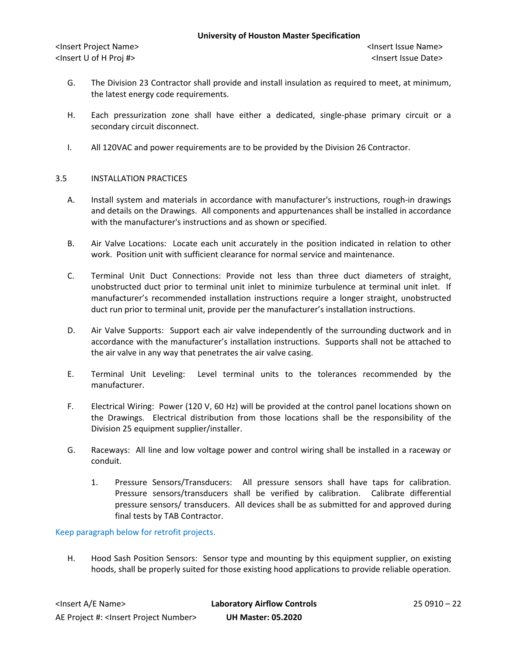- G. The Division 23 Contractor shall provide and install insulation as required to meet, at minimum, the latest energy code requirements.
- H. Each pressurization zone shall have either a dedicated, single-phase primary circuit or a secondary circuit disconnect.
- I. All 120VAC and power requirements are to be provided by the Division 26 Contractor.

## 3.5 INSTALLATION PRACTICES

- A. Install system and materials in accordance with manufacturer's instructions, rough-in drawings and details on the Drawings. All components and appurtenances shall be installed in accordance with the manufacturer's instructions and as shown or specified.
- B. Air Valve Locations: Locate each unit accurately in the position indicated in relation to other work. Position unit with sufficient clearance for normal service and maintenance.
- C. Terminal Unit Duct Connections: Provide not less than three duct diameters of straight, unobstructed duct prior to terminal unit inlet to minimize turbulence at terminal unit inlet. If manufacturer's recommended installation instructions require a longer straight, unobstructed duct run prior to terminal unit, provide per the manufacturer's installation instructions.
- D. Air Valve Supports: Support each air valve independently of the surrounding ductwork and in accordance with the manufacturer's installation instructions. Supports shall not be attached to the air valve in any way that penetrates the air valve casing.
- E. Terminal Unit Leveling: Level terminal units to the tolerances recommended by the manufacturer.
- F. Electrical Wiring: Power (120 V, 60 Hz) will be provided at the control panel locations shown on the Drawings. Electrical distribution from those locations shall be the responsibility of the Division 25 equipment supplier/installer.
- G. Raceways: All line and low voltage power and control wiring shall be installed in a raceway or conduit.
	- 1. Pressure Sensors/Transducers: All pressure sensors shall have taps for calibration. Pressure sensors/transducers shall be verified by calibration. Calibrate differential pressure sensors/ transducers. All devices shall be as submitted for and approved during final tests by TAB Contractor.

## Keep paragraph below for retrofit projects.

H. Hood Sash Position Sensors: Sensor type and mounting by this equipment supplier, on existing hoods, shall be properly suited for those existing hood applications to provide reliable operation.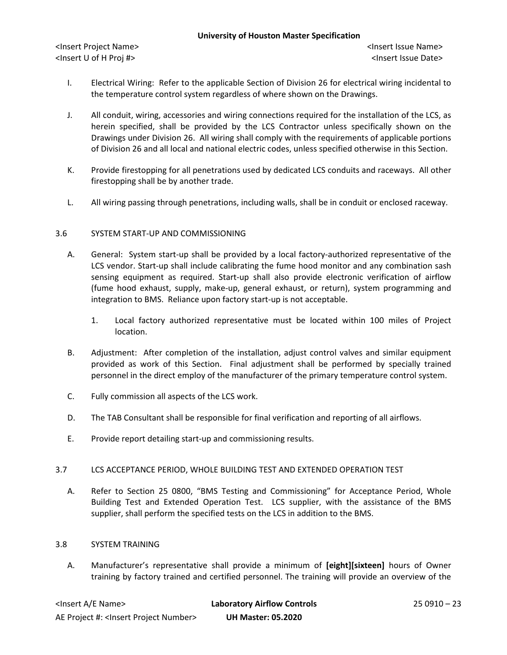- I. Electrical Wiring: Refer to the applicable Section of Division 26 for electrical wiring incidental to the temperature control system regardless of where shown on the Drawings.
- J. All conduit, wiring, accessories and wiring connections required for the installation of the LCS, as herein specified, shall be provided by the LCS Contractor unless specifically shown on the Drawings under Division 26. All wiring shall comply with the requirements of applicable portions of Division 26 and all local and national electric codes, unless specified otherwise in this Section.
- K. Provide firestopping for all penetrations used by dedicated LCS conduits and raceways. All other firestopping shall be by another trade.
- L. All wiring passing through penetrations, including walls, shall be in conduit or enclosed raceway.

# 3.6 SYSTEM START-UP AND COMMISSIONING

- A. General: System start-up shall be provided by a local factory-authorized representative of the LCS vendor. Start-up shall include calibrating the fume hood monitor and any combination sash sensing equipment as required. Start-up shall also provide electronic verification of airflow (fume hood exhaust, supply, make-up, general exhaust, or return), system programming and integration to BMS. Reliance upon factory start-up is not acceptable.
	- 1. Local factory authorized representative must be located within 100 miles of Project location.
- B. Adjustment: After completion of the installation, adjust control valves and similar equipment provided as work of this Section. Final adjustment shall be performed by specially trained personnel in the direct employ of the manufacturer of the primary temperature control system.
- C. Fully commission all aspects of the LCS work.
- D. The TAB Consultant shall be responsible for final verification and reporting of all airflows.
- E. Provide report detailing start-up and commissioning results.

# 3.7 LCS ACCEPTANCE PERIOD, WHOLE BUILDING TEST AND EXTENDED OPERATION TEST

A. Refer to Section 25 0800, "BMS Testing and Commissioning" for Acceptance Period, Whole Building Test and Extended Operation Test. LCS supplier, with the assistance of the BMS supplier, shall perform the specified tests on the LCS in addition to the BMS.

## 3.8 SYSTEM TRAINING

A. Manufacturer's representative shall provide a minimum of **[eight][sixteen]** hours of Owner training by factory trained and certified personnel. The training will provide an overview of the